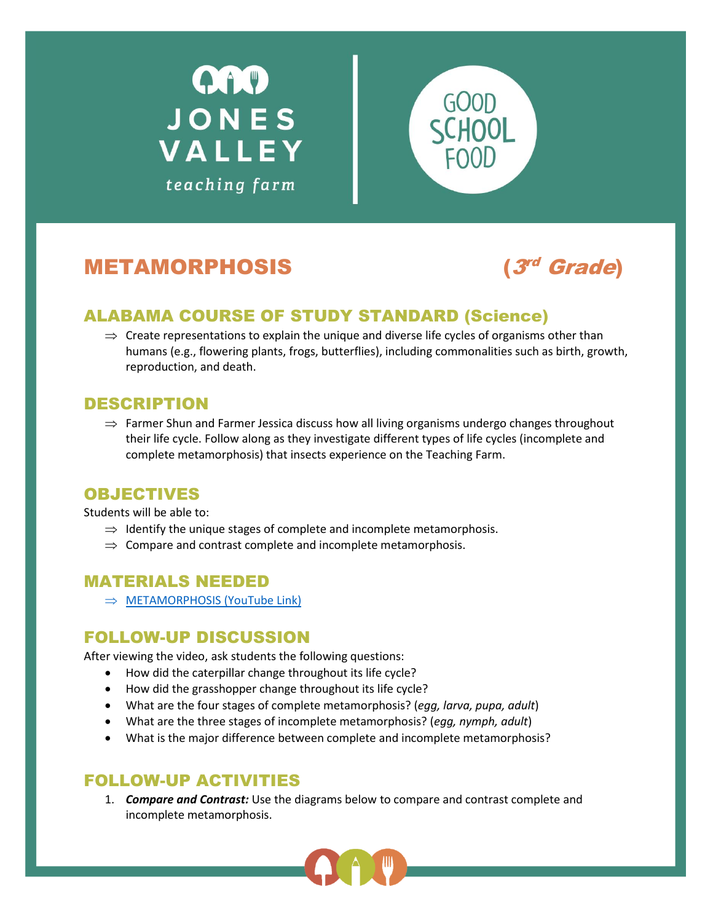



# **METAMORPHOSIS**

(3rd Grade)

## ALABAMA COURSE OF STUDY STANDARD (Science)

 $\Rightarrow$  Create representations to explain the unique and diverse life cycles of organisms other than humans (e.g., flowering plants, frogs, butterflies), including commonalities such as birth, growth, reproduction, and death.

#### DESCRIPTION

 $\Rightarrow$  Farmer Shun and Farmer Jessica discuss how all living organisms undergo changes throughout their life cycle. Follow along as they investigate different types of life cycles (incomplete and complete metamorphosis) that insects experience on the Teaching Farm.

#### OBJECTIVES

Students will be able to:

- $\Rightarrow$  Identify the unique stages of complete and incomplete metamorphosis.
- $\Rightarrow$  Compare and contrast complete and incomplete metamorphosis.

#### MATERIALS NEEDED

 $\Rightarrow$  [METAMORPHOSIS](https://youtu.be/AvIpWsPM7p4) (YouTube Link)

## FOLLOW-UP DISCUSSION

After viewing the video, ask students the following questions:

- How did the caterpillar change throughout its life cycle?
- How did the grasshopper change throughout its life cycle?
- What are the four stages of complete metamorphosis? (*egg, larva, pupa, adult*)
- What are the three stages of incomplete metamorphosis? (*egg, nymph, adult*)
- What is the major difference between complete and incomplete metamorphosis?

#### FOLLOW-UP ACTIVITIES

1. *Compare and Contrast:* Use the diagrams below to compare and contrast complete and incomplete metamorphosis.

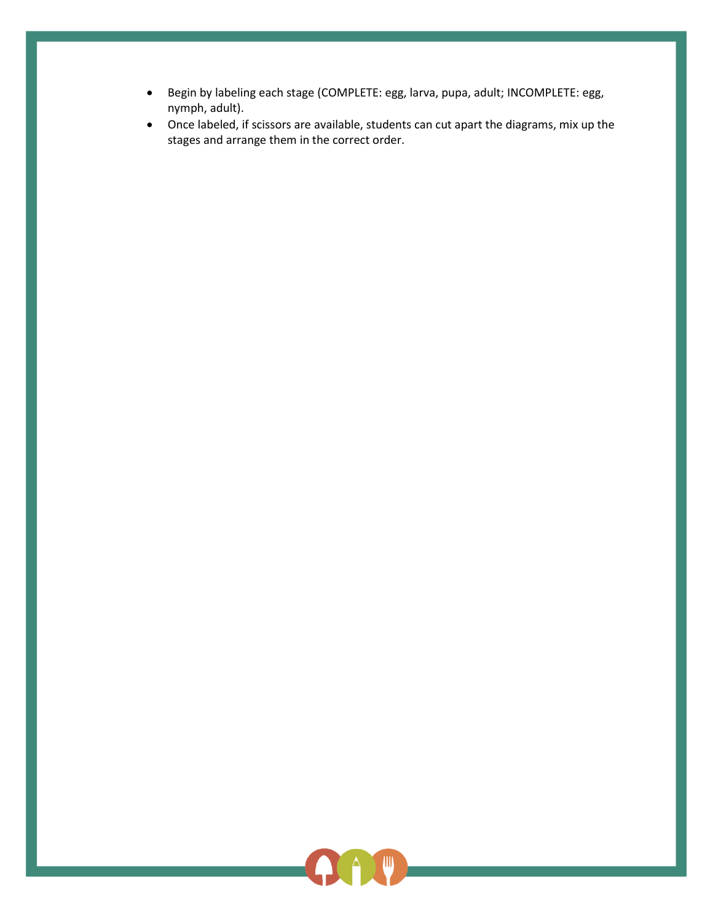- Begin by labeling each stage (COMPLETE: egg, larva, pupa, adult; INCOMPLETE: egg, nymph, adult).
- Once labeled, if scissors are available, students can cut apart the diagrams, mix up the stages and arrange them in the correct order.

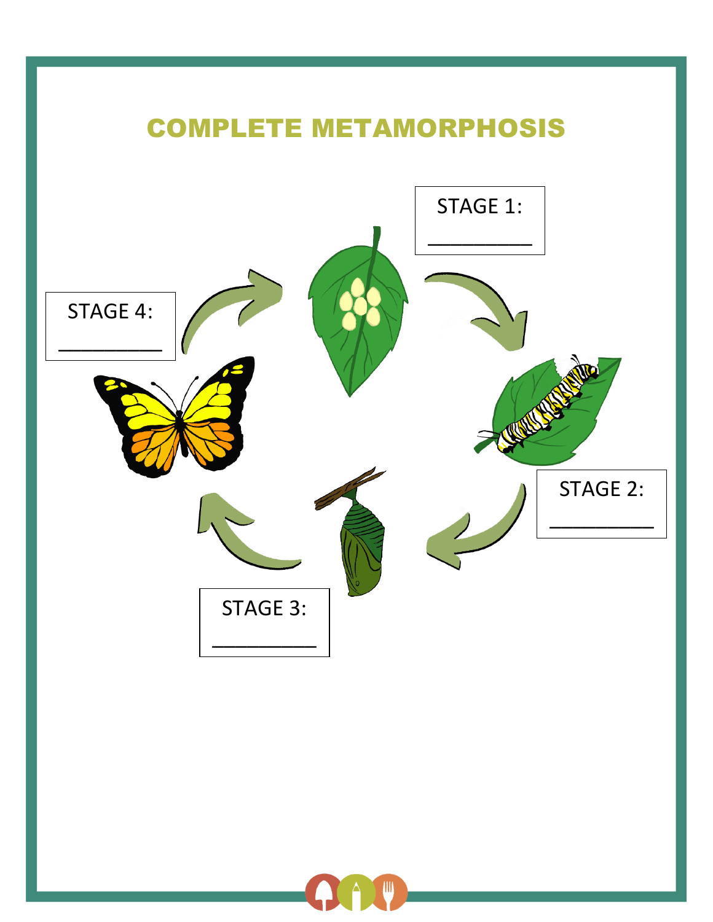# COMPLETE METAMORPHOSIS STAGE 2: \_\_\_\_\_\_\_\_\_  $\overline{a}$ STAGE 1: \_\_\_\_\_\_\_\_\_  $\overline{a}$ STAGE 3: \_\_\_\_\_\_\_\_\_  $\overline{a}$ STAGE 4: \_\_\_\_\_\_\_\_\_ \_